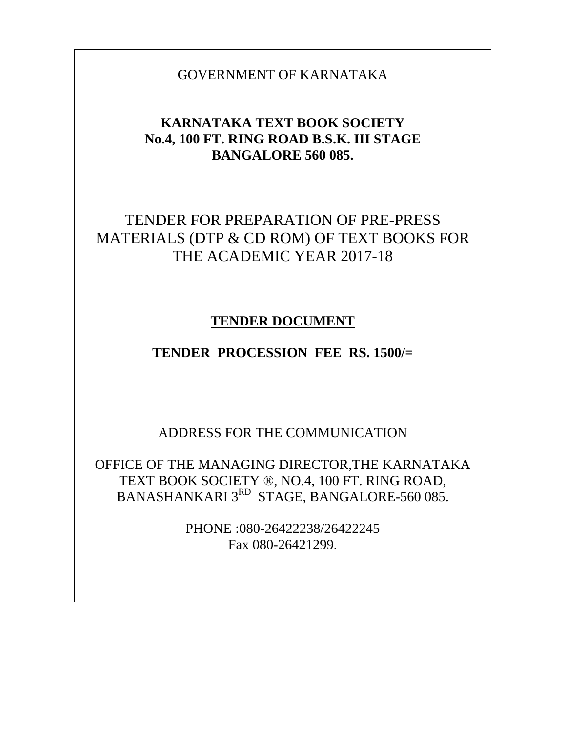GOVERNMENT OF KARNATAKA

# **KARNATAKA TEXT BOOK SOCIETY No.4, 100 FT. RING ROAD B.S.K. III STAGE BANGALORE 560 085.**

# TENDER FOR PREPARATION OF PRE-PRESS MATERIALS (DTP & CD ROM) OF TEXT BOOKS FOR THE ACADEMIC YEAR 2017-18

# **TENDER DOCUMENT**

# **TENDER PROCESSION FEE RS. 1500/=**

ADDRESS FOR THE COMMUNICATION

OFFICE OF THE MANAGING DIRECTOR,THE KARNATAKA TEXT BOOK SOCIETY ®, NO.4, 100 FT. RING ROAD, BANASHANKARI 3<sup>RD</sup> STAGE, BANGALORE-560 085.

> PHONE :080-26422238/26422245 Fax 080-26421299.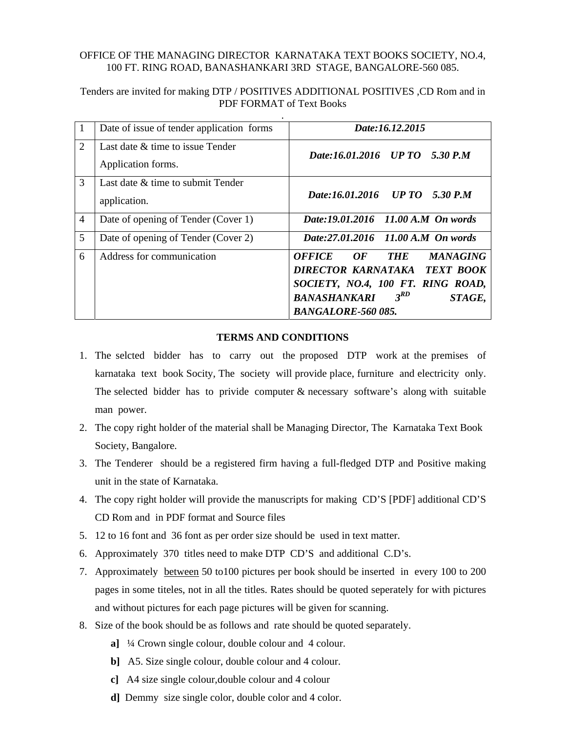#### OFFICE OF THE MANAGING DIRECTOR KARNATAKA TEXT BOOKS SOCIETY, NO.4, 100 FT. RING ROAD, BANASHANKARI 3RD STAGE, BANGALORE-560 085.

Tenders are invited for making DTP / POSITIVES ADDITIONAL POSITIVES ,CD Rom and in PDF FORMAT of Text Books

| $\vert 1 \vert$ | Date of issue of tender application forms | Date:16.12.2015                                      |
|-----------------|-------------------------------------------|------------------------------------------------------|
| $\overline{2}$  | Last date & time to issue Tender          | Date:16.01.2016 UP TO 5.30 P.M                       |
|                 | Application forms.                        |                                                      |
| 3               | Last date $\&$ time to submit Tender      |                                                      |
|                 | application.                              | Date:16.01.2016 UP TO 5.30 P.M                       |
| $\overline{4}$  | Date of opening of Tender (Cover 1)       | Date:19.01.2016 11.00 A.M On words                   |
| 5               | Date of opening of Tender (Cover 2)       | Date:27.01.2016 11.00 A.M On words                   |
| 6               | Address for communication                 | <b>OFFICE</b><br>OF<br><b>MANAGING</b><br><b>THE</b> |
|                 |                                           | DIRECTOR KARNATAKA TEXT BOOK                         |
|                 |                                           | SOCIETY, NO.4, 100 FT. RING ROAD,                    |
|                 |                                           | $3^{RD}$<br><b>BANASHANKARI</b><br>STAGE,            |
|                 |                                           | <b>BANGALORE-560 085.</b>                            |

#### **TERMS AND CONDITIONS**

- 1. The selcted bidder has to carry out the proposed DTP work at the premises of karnataka text book Socity, The society will provide place, furniture and electricity only. The selected bidder has to privide computer  $\&$  necessary software's along with suitable man power.
- 2. The copy right holder of the material shall be Managing Director, The Karnataka Text Book Society, Bangalore.
- 3. The Tenderer should be a registered firm having a full-fledged DTP and Positive making unit in the state of Karnataka.
- 4. The copy right holder will provide the manuscripts for making CD'S [PDF] additional CD'S CD Rom and in PDF format and Source files
- 5. 12 to 16 font and 36 font as per order size should be used in text matter.
- 6. Approximately 370 titles need to make DTP CD'S and additional C.D's.
- 7. Approximately between 50 to100 pictures per book should be inserted in every 100 to 200 pages in some titeles, not in all the titles. Rates should be quoted seperately for with pictures and without pictures for each page pictures will be given for scanning.
- 8. Size of the book should be as follows and rate should be quoted separately.
	- **a]** ¼ Crown single colour, double colour and 4 colour.
	- **b**] A5. Size single colour, double colour and 4 colour.
	- **c]** A4 size single colour,double colour and 4 colour
	- **d]** Demmy size single color, double color and 4 color.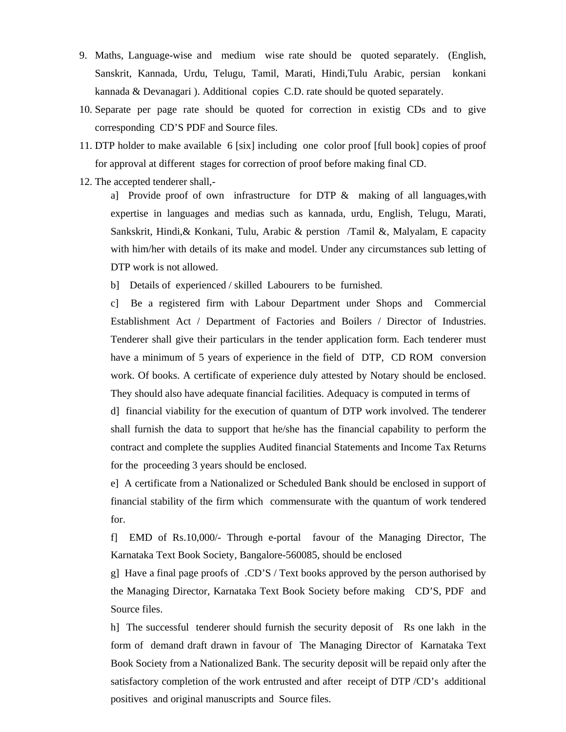- 9. Maths, Language-wise and medium wise rate should be quoted separately. (English, Sanskrit, Kannada, Urdu, Telugu, Tamil, Marati, Hindi,Tulu Arabic, persian konkani kannada & Devanagari ). Additional copies C.D. rate should be quoted separately.
- 10. Separate per page rate should be quoted for correction in existig CDs and to give corresponding CD'S PDF and Source files.
- 11. DTP holder to make available 6 [six] including one color proof [full book] copies of proof for approval at different stages for correction of proof before making final CD.
- 12. The accepted tenderer shall,-

a] Provide proof of own infrastructure for DTP & making of all languages,with expertise in languages and medias such as kannada, urdu, English, Telugu, Marati, Sankskrit, Hindi,& Konkani, Tulu, Arabic & perstion /Tamil &, Malyalam, E capacity with him/her with details of its make and model. Under any circumstances sub letting of DTP work is not allowed.

b] Details of experienced / skilled Labourers to be furnished.

c] Be a registered firm with Labour Department under Shops and Commercial Establishment Act / Department of Factories and Boilers / Director of Industries. Tenderer shall give their particulars in the tender application form. Each tenderer must have a minimum of 5 years of experience in the field of DTP, CD ROM conversion work. Of books. A certificate of experience duly attested by Notary should be enclosed. They should also have adequate financial facilities. Adequacy is computed in terms of

d] financial viability for the execution of quantum of DTP work involved. The tenderer shall furnish the data to support that he/she has the financial capability to perform the contract and complete the supplies Audited financial Statements and Income Tax Returns for the proceeding 3 years should be enclosed.

e] A certificate from a Nationalized or Scheduled Bank should be enclosed in support of financial stability of the firm which commensurate with the quantum of work tendered for.

f] EMD of Rs.10,000/- Through e-portal favour of the Managing Director, The Karnataka Text Book Society, Bangalore-560085, should be enclosed

g] Have a final page proofs of .CD'S / Text books approved by the person authorised by the Managing Director, Karnataka Text Book Society before making CD'S, PDF and Source files.

h] The successful tenderer should furnish the security deposit of Rs one lakh in the form of demand draft drawn in favour of The Managing Director of Karnataka Text Book Society from a Nationalized Bank. The security deposit will be repaid only after the satisfactory completion of the work entrusted and after receipt of DTP /CD's additional positives and original manuscripts and Source files.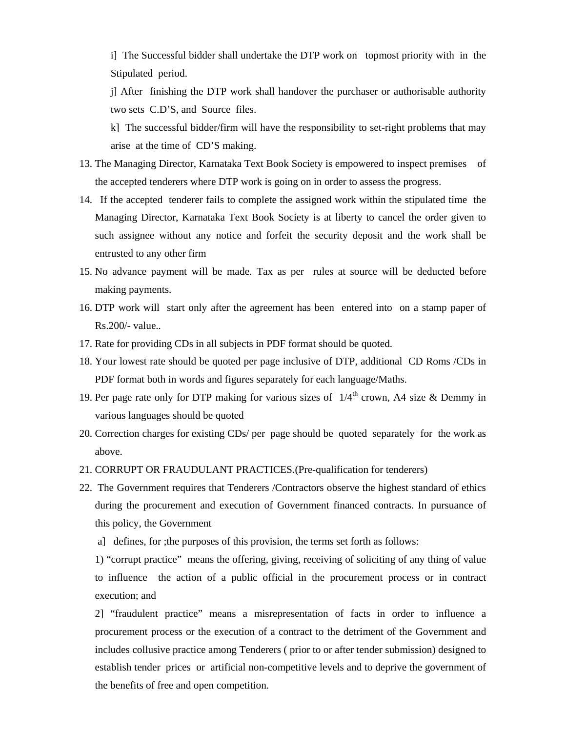i] The Successful bidder shall undertake the DTP work on topmost priority with in the Stipulated period.

j] After finishing the DTP work shall handover the purchaser or authorisable authority two sets C.D'S, and Source files.

k] The successful bidder/firm will have the responsibility to set-right problems that may arise at the time of CD'S making.

- 13. The Managing Director, Karnataka Text Book Society is empowered to inspect premises of the accepted tenderers where DTP work is going on in order to assess the progress.
- 14. If the accepted tenderer fails to complete the assigned work within the stipulated time the Managing Director, Karnataka Text Book Society is at liberty to cancel the order given to such assignee without any notice and forfeit the security deposit and the work shall be entrusted to any other firm
- 15. No advance payment will be made. Tax as per rules at source will be deducted before making payments.
- 16. DTP work will start only after the agreement has been entered into on a stamp paper of Rs.200/- value..
- 17. Rate for providing CDs in all subjects in PDF format should be quoted.
- 18. Your lowest rate should be quoted per page inclusive of DTP, additional CD Roms /CDs in PDF format both in words and figures separately for each language/Maths.
- 19. Per page rate only for DTP making for various sizes of  $1/4<sup>th</sup>$  crown, A4 size & Demmy in various languages should be quoted
- 20. Correction charges for existing CDs/ per page should be quoted separately for the work as above.
- 21. CORRUPT OR FRAUDULANT PRACTICES.(Pre-qualification for tenderers)
- 22. The Government requires that Tenderers /Contractors observe the highest standard of ethics during the procurement and execution of Government financed contracts. In pursuance of this policy, the Government
	- a] defines, for ;the purposes of this provision, the terms set forth as follows:

1) "corrupt practice" means the offering, giving, receiving of soliciting of any thing of value to influence the action of a public official in the procurement process or in contract execution; and

2] "fraudulent practice" means a misrepresentation of facts in order to influence a procurement process or the execution of a contract to the detriment of the Government and includes collusive practice among Tenderers ( prior to or after tender submission) designed to establish tender prices or artificial non-competitive levels and to deprive the government of the benefits of free and open competition.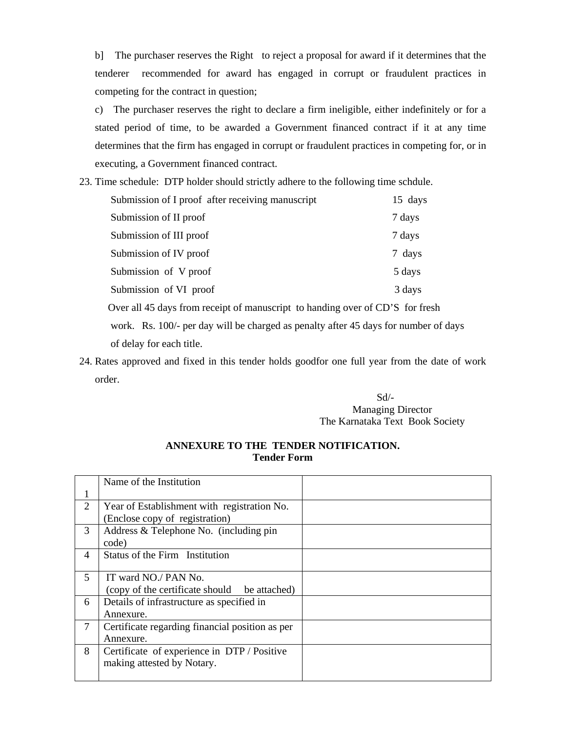b] The purchaser reserves the Right to reject a proposal for award if it determines that the tenderer recommended for award has engaged in corrupt or fraudulent practices in competing for the contract in question;

- c) The purchaser reserves the right to declare a firm ineligible, either indefinitely or for a stated period of time, to be awarded a Government financed contract if it at any time determines that the firm has engaged in corrupt or fraudulent practices in competing for, or in executing, a Government financed contract.
- 23. Time schedule: DTP holder should strictly adhere to the following time schdule.

| Submission of I proof after receiving manuscript | 15 days |
|--------------------------------------------------|---------|
| Submission of II proof                           | 7 days  |
| Submission of III proof                          | 7 days  |
| Submission of IV proof                           | 7 days  |
| Submission of V proof                            | 5 days  |
| Submission of VI proof                           | 3 days  |

Over all 45 days from receipt of manuscript to handing over of CD'S for fresh

 work. Rs. 100/- per day will be charged as penalty after 45 days for number of days of delay for each title.

24. Rates approved and fixed in this tender holds goodfor one full year from the date of work order.

### Sd/- Managing Director The Karnataka Text Book Society

### **ANNEXURE TO THE TENDER NOTIFICATION. Tender Form**

|                | Name of the Institution                         |  |
|----------------|-------------------------------------------------|--|
|                |                                                 |  |
| 2              | Year of Establishment with registration No.     |  |
|                | (Enclose copy of registration)                  |  |
| 3              | Address & Telephone No. (including pin          |  |
|                | code)                                           |  |
| $\overline{4}$ | Status of the Firm Institution                  |  |
|                |                                                 |  |
| 5              | IT ward NO./ PAN No.                            |  |
|                | (copy of the certificate should be attached)    |  |
| 6              | Details of infrastructure as specified in       |  |
|                | Annexure.                                       |  |
| 7              | Certificate regarding financial position as per |  |
|                | Annexure.                                       |  |
| 8              | Certificate of experience in DTP / Positive     |  |
|                | making attested by Notary.                      |  |
|                |                                                 |  |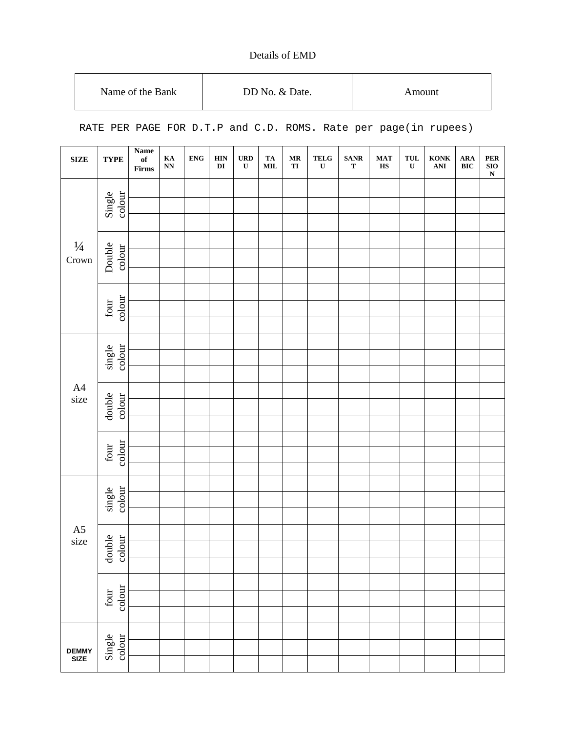## Details of EMD

| Name of the Bank | DD No. & Date. | Amount |
|------------------|----------------|--------|
|------------------|----------------|--------|

RATE PER PAGE FOR D.T.P and C.D. ROMS. Rate per page(in rupees)

| <b>SIZE</b>            | <b>TYPE</b>      | <b>Name</b><br>of<br>Firms | $\mathbf{K}\mathbf{A}$<br>$\mathbf{N}\mathbf{N}$ | <b>ENG</b> | <b>HIN</b><br>$\mathbf{D}\mathbf{I}$ | <b>URD</b><br>$\mathbf U$ | TA<br>$\textbf{MIL}$ | $\bf{MR}$<br>TI | $\frac{\text{TELG}}{\text{U}}$ | <b>SANR</b><br>$\mathbf T$ | <b>MAT</b><br>$\mathbf{H}\mathbf{S}$ | TUL<br>$\mathbf U$ | KONK<br>ANI | <b>ARA</b><br><b>BIC</b> | PER<br>SIO<br>N |
|------------------------|------------------|----------------------------|--------------------------------------------------|------------|--------------------------------------|---------------------------|----------------------|-----------------|--------------------------------|----------------------------|--------------------------------------|--------------------|-------------|--------------------------|-----------------|
|                        |                  |                            |                                                  |            |                                      |                           |                      |                 |                                |                            |                                      |                    |             |                          |                 |
|                        | Single<br>colour |                            |                                                  |            |                                      |                           |                      |                 |                                |                            |                                      |                    |             |                          |                 |
|                        |                  |                            |                                                  |            |                                      |                           |                      |                 |                                |                            |                                      |                    |             |                          |                 |
|                        |                  |                            |                                                  |            |                                      |                           |                      |                 |                                |                            |                                      |                    |             |                          |                 |
| $\frac{1}{4}$<br>Crown | Double<br>colour |                            |                                                  |            |                                      |                           |                      |                 |                                |                            |                                      |                    |             |                          |                 |
|                        |                  |                            |                                                  |            |                                      |                           |                      |                 |                                |                            |                                      |                    |             |                          |                 |
|                        |                  |                            |                                                  |            |                                      |                           |                      |                 |                                |                            |                                      |                    |             |                          |                 |
|                        | colour<br>four   |                            |                                                  |            |                                      |                           |                      |                 |                                |                            |                                      |                    |             |                          |                 |
|                        |                  |                            |                                                  |            |                                      |                           |                      |                 |                                |                            |                                      |                    |             |                          |                 |
|                        |                  |                            |                                                  |            |                                      |                           |                      |                 |                                |                            |                                      |                    |             |                          |                 |
|                        | single<br>colour |                            |                                                  |            |                                      |                           |                      |                 |                                |                            |                                      |                    |             |                          |                 |
| A4<br>size             |                  |                            |                                                  |            |                                      |                           |                      |                 |                                |                            |                                      |                    |             |                          |                 |
|                        |                  |                            |                                                  |            |                                      |                           |                      |                 |                                |                            |                                      |                    |             |                          |                 |
|                        | double<br>colour |                            |                                                  |            |                                      |                           |                      |                 |                                |                            |                                      |                    |             |                          |                 |
|                        |                  |                            |                                                  |            |                                      |                           |                      |                 |                                |                            |                                      |                    |             |                          |                 |
|                        |                  |                            |                                                  |            |                                      |                           |                      |                 |                                |                            |                                      |                    |             |                          |                 |
|                        | four<br>colour   |                            |                                                  |            |                                      |                           |                      |                 |                                |                            |                                      |                    |             |                          |                 |
|                        |                  |                            |                                                  |            |                                      |                           |                      |                 |                                |                            |                                      |                    |             |                          |                 |
|                        |                  |                            |                                                  |            |                                      |                           |                      |                 |                                |                            |                                      |                    |             |                          |                 |
|                        | single<br>colour |                            |                                                  |            |                                      |                           |                      |                 |                                |                            |                                      |                    |             |                          |                 |
|                        |                  |                            |                                                  |            |                                      |                           |                      |                 |                                |                            |                                      |                    |             |                          |                 |
| $A5$<br>size           |                  |                            |                                                  |            |                                      |                           |                      |                 |                                |                            |                                      |                    |             |                          |                 |
|                        | double<br>colour |                            |                                                  |            |                                      |                           |                      |                 |                                |                            |                                      |                    |             |                          |                 |
|                        |                  |                            |                                                  |            |                                      |                           |                      |                 |                                |                            |                                      |                    |             |                          |                 |
|                        | four<br>colour   |                            |                                                  |            |                                      |                           |                      |                 |                                |                            |                                      |                    |             |                          |                 |
|                        |                  |                            |                                                  |            |                                      |                           |                      |                 |                                |                            |                                      |                    |             |                          |                 |
|                        |                  |                            |                                                  |            |                                      |                           |                      |                 |                                |                            |                                      |                    |             |                          |                 |
|                        | Single<br>colour |                            |                                                  |            |                                      |                           |                      |                 |                                |                            |                                      |                    |             |                          |                 |
| <b>DEMMY<br/>SIZE</b>  |                  |                            |                                                  |            |                                      |                           |                      |                 |                                |                            |                                      |                    |             |                          |                 |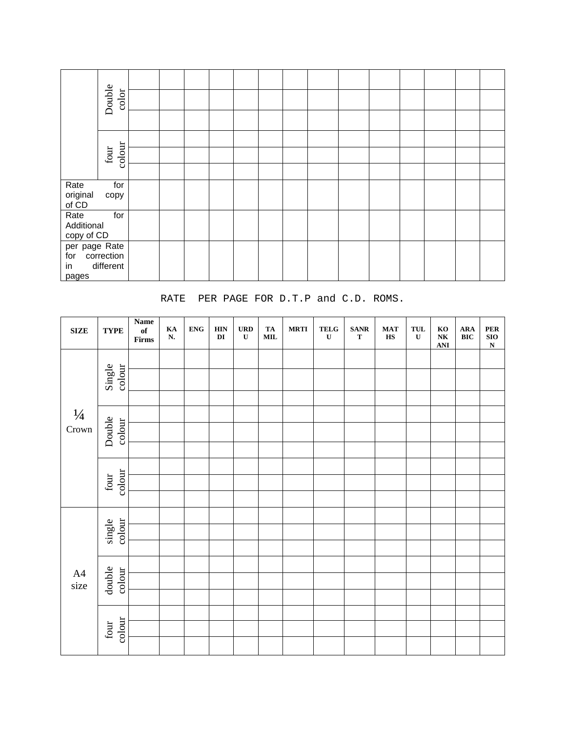|                                  | Double<br>color                 |  |  |  |  |  |  |  |
|----------------------------------|---------------------------------|--|--|--|--|--|--|--|
|                                  |                                 |  |  |  |  |  |  |  |
|                                  |                                 |  |  |  |  |  |  |  |
|                                  | colour<br>$\operatorname{four}$ |  |  |  |  |  |  |  |
|                                  |                                 |  |  |  |  |  |  |  |
| Rate<br>original<br>of CD        | for<br>copy                     |  |  |  |  |  |  |  |
| Rate<br>Additional<br>copy of CD | for                             |  |  |  |  |  |  |  |
| per page Rate<br>for             | correction                      |  |  |  |  |  |  |  |
| in<br>pages                      | different                       |  |  |  |  |  |  |  |

RATE PER PAGE FOR D.T.P and C.D. ROMS.

| ${\bf SIZE}$           | <b>TYPE</b>                     | $\mathbf{Name}$<br>$\mathbf{of}$<br>$\ensuremath{\text{\bf Firms}}$ | $K_A$<br>N. | <b>ENG</b> | <b>HIN</b><br>$\mathbf{DI}$ | <b>URD</b><br>$\mathbf U$ | <b>TA</b><br>$\textbf{MIL}$ | <b>MRTI</b> | <b>TELG</b><br>$\mathbf U$ | <b>SANR</b><br>$\mathbf T$ | <b>MAT</b><br>$\mathbf{H}\mathbf{S}$ | TUL<br>$\mathbf U$ | $\mathbf{KO}$<br>$\mathbf{N}\mathbf{K}$<br>ANI | ${\bf A}{\bf R}{\bf A}$<br>$\mathbf{BIC}$ | ${\bf PER}$<br>${\bf SIO}$<br>$\overline{\mathbf{N}}$ |
|------------------------|---------------------------------|---------------------------------------------------------------------|-------------|------------|-----------------------------|---------------------------|-----------------------------|-------------|----------------------------|----------------------------|--------------------------------------|--------------------|------------------------------------------------|-------------------------------------------|-------------------------------------------------------|
|                        |                                 |                                                                     |             |            |                             |                           |                             |             |                            |                            |                                      |                    |                                                |                                           |                                                       |
|                        | colour<br>Single                |                                                                     |             |            |                             |                           |                             |             |                            |                            |                                      |                    |                                                |                                           |                                                       |
|                        |                                 |                                                                     |             |            |                             |                           |                             |             |                            |                            |                                      |                    |                                                |                                           |                                                       |
| $\frac{1}{4}$<br>Crown |                                 |                                                                     |             |            |                             |                           |                             |             |                            |                            |                                      |                    |                                                |                                           |                                                       |
|                        | Double<br>colour                |                                                                     |             |            |                             |                           |                             |             |                            |                            |                                      |                    |                                                |                                           |                                                       |
|                        |                                 |                                                                     |             |            |                             |                           |                             |             |                            |                            |                                      |                    |                                                |                                           |                                                       |
|                        | colour<br>four                  |                                                                     |             |            |                             |                           |                             |             |                            |                            |                                      |                    |                                                |                                           |                                                       |
|                        |                                 |                                                                     |             |            |                             |                           |                             |             |                            |                            |                                      |                    |                                                |                                           |                                                       |
|                        |                                 |                                                                     |             |            |                             |                           |                             |             |                            |                            |                                      |                    |                                                |                                           |                                                       |
|                        |                                 |                                                                     |             |            |                             |                           |                             |             |                            |                            |                                      |                    |                                                |                                           |                                                       |
|                        | single<br>colour                |                                                                     |             |            |                             |                           |                             |             |                            |                            |                                      |                    |                                                |                                           |                                                       |
|                        |                                 |                                                                     |             |            |                             |                           |                             |             |                            |                            |                                      |                    |                                                |                                           |                                                       |
|                        |                                 |                                                                     |             |            |                             |                           |                             |             |                            |                            |                                      |                    |                                                |                                           |                                                       |
| $A4$<br>size           | double<br>colour                |                                                                     |             |            |                             |                           |                             |             |                            |                            |                                      |                    |                                                |                                           |                                                       |
|                        |                                 |                                                                     |             |            |                             |                           |                             |             |                            |                            |                                      |                    |                                                |                                           |                                                       |
|                        |                                 |                                                                     |             |            |                             |                           |                             |             |                            |                            |                                      |                    |                                                |                                           |                                                       |
|                        | colour<br>$\operatorname{four}$ |                                                                     |             |            |                             |                           |                             |             |                            |                            |                                      |                    |                                                |                                           |                                                       |
|                        |                                 |                                                                     |             |            |                             |                           |                             |             |                            |                            |                                      |                    |                                                |                                           |                                                       |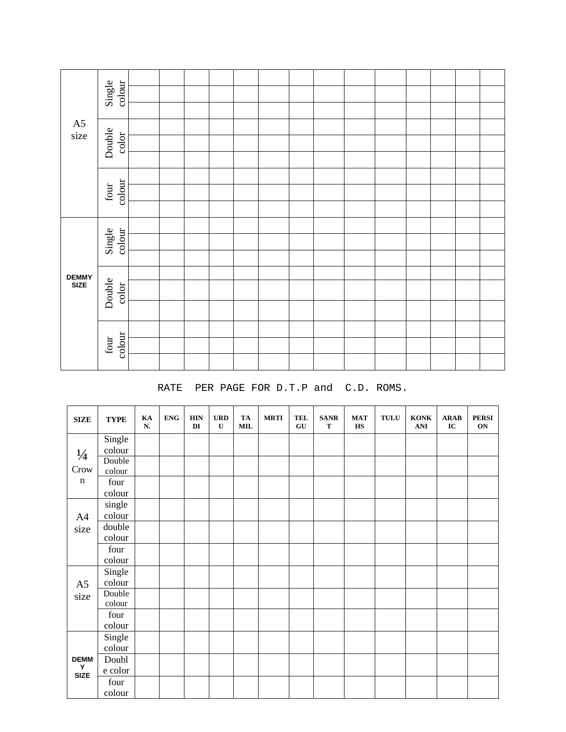|                       | Single<br>colour                 |  |  |  |  |  |  |  |
|-----------------------|----------------------------------|--|--|--|--|--|--|--|
|                       |                                  |  |  |  |  |  |  |  |
| ${\rm A}5$            |                                  |  |  |  |  |  |  |  |
| size                  | Double<br>color                  |  |  |  |  |  |  |  |
|                       |                                  |  |  |  |  |  |  |  |
|                       |                                  |  |  |  |  |  |  |  |
|                       | colour<br>$\operatorname{four}$  |  |  |  |  |  |  |  |
|                       |                                  |  |  |  |  |  |  |  |
|                       | colour<br>Single                 |  |  |  |  |  |  |  |
|                       |                                  |  |  |  |  |  |  |  |
|                       |                                  |  |  |  |  |  |  |  |
|                       |                                  |  |  |  |  |  |  |  |
| <b>DEMMY<br/>SIZE</b> | Double<br>$\operatorname{color}$ |  |  |  |  |  |  |  |
|                       |                                  |  |  |  |  |  |  |  |
|                       |                                  |  |  |  |  |  |  |  |
|                       | colour<br>four                   |  |  |  |  |  |  |  |
|                       |                                  |  |  |  |  |  |  |  |
|                       |                                  |  |  |  |  |  |  |  |

### RATE PER PAGE FOR D.T.P and C.D. ROMS.

| ${\bf SIZE}$     | <b>TYPE</b> | KA<br>N. | <b>ENG</b> | <b>HIN</b><br>DI | <b>URD</b><br>$\mathbf U$ | TA<br><b>MIL</b> | <b>MRTI</b> | <b>TEL</b><br>GU | <b>SANR</b><br>T | <b>MAT</b><br><b>HS</b> | <b>TULU</b> | <b>KONK</b><br>ANI | <b>ARAB</b><br>IC | <b>PERSI</b><br>ON |
|------------------|-------------|----------|------------|------------------|---------------------------|------------------|-------------|------------------|------------------|-------------------------|-------------|--------------------|-------------------|--------------------|
|                  | Single      |          |            |                  |                           |                  |             |                  |                  |                         |             |                    |                   |                    |
| $\frac{1}{4}$    | colour      |          |            |                  |                           |                  |             |                  |                  |                         |             |                    |                   |                    |
| Crow             | Double      |          |            |                  |                           |                  |             |                  |                  |                         |             |                    |                   |                    |
|                  | colour      |          |            |                  |                           |                  |             |                  |                  |                         |             |                    |                   |                    |
| $\mathbf n$      | four        |          |            |                  |                           |                  |             |                  |                  |                         |             |                    |                   |                    |
|                  | colour      |          |            |                  |                           |                  |             |                  |                  |                         |             |                    |                   |                    |
|                  | single      |          |            |                  |                           |                  |             |                  |                  |                         |             |                    |                   |                    |
| A4               | colour      |          |            |                  |                           |                  |             |                  |                  |                         |             |                    |                   |                    |
| size             | double      |          |            |                  |                           |                  |             |                  |                  |                         |             |                    |                   |                    |
|                  | colour      |          |            |                  |                           |                  |             |                  |                  |                         |             |                    |                   |                    |
|                  | four        |          |            |                  |                           |                  |             |                  |                  |                         |             |                    |                   |                    |
|                  | colour      |          |            |                  |                           |                  |             |                  |                  |                         |             |                    |                   |                    |
|                  | Single      |          |            |                  |                           |                  |             |                  |                  |                         |             |                    |                   |                    |
| A <sub>5</sub>   | colour      |          |            |                  |                           |                  |             |                  |                  |                         |             |                    |                   |                    |
| size             | Double      |          |            |                  |                           |                  |             |                  |                  |                         |             |                    |                   |                    |
|                  | colour      |          |            |                  |                           |                  |             |                  |                  |                         |             |                    |                   |                    |
|                  | four        |          |            |                  |                           |                  |             |                  |                  |                         |             |                    |                   |                    |
|                  | colour      |          |            |                  |                           |                  |             |                  |                  |                         |             |                    |                   |                    |
|                  | Single      |          |            |                  |                           |                  |             |                  |                  |                         |             |                    |                   |                    |
|                  | colour      |          |            |                  |                           |                  |             |                  |                  |                         |             |                    |                   |                    |
| <b>DEMM</b>      | Doubl       |          |            |                  |                           |                  |             |                  |                  |                         |             |                    |                   |                    |
| Υ<br><b>SIZE</b> | e color     |          |            |                  |                           |                  |             |                  |                  |                         |             |                    |                   |                    |
|                  | four        |          |            |                  |                           |                  |             |                  |                  |                         |             |                    |                   |                    |
|                  | colour      |          |            |                  |                           |                  |             |                  |                  |                         |             |                    |                   |                    |